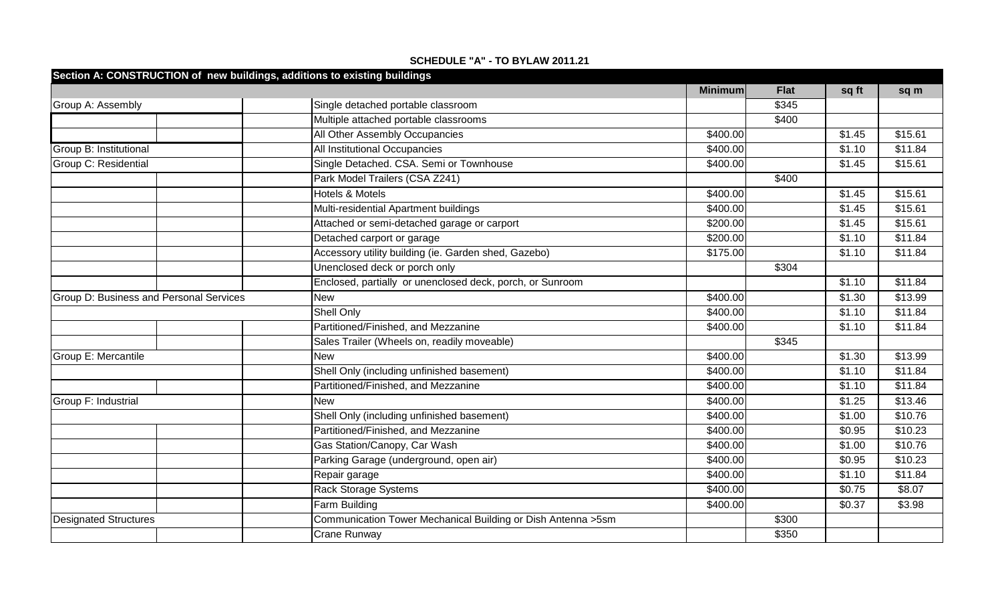## **SCHEDULE "A" - TO BYLAW 2011.21**

| Section A: CONSTRUCTION of new buildings, additions to existing buildings |                                                               |                |             |        |                 |
|---------------------------------------------------------------------------|---------------------------------------------------------------|----------------|-------------|--------|-----------------|
|                                                                           |                                                               | <b>Minimum</b> | <b>Flat</b> | sq ft  | sq m            |
| Group A: Assembly                                                         | Single detached portable classroom                            |                | \$345       |        |                 |
|                                                                           | Multiple attached portable classrooms                         |                | \$400       |        |                 |
|                                                                           | All Other Assembly Occupancies                                | \$400.00       |             | \$1.45 | \$15.61         |
| Group B: Institutional                                                    | All Institutional Occupancies                                 | \$400.00       |             | \$1.10 | $\sqrt{$11.84}$ |
| Group C: Residential                                                      | Single Detached. CSA. Semi or Townhouse                       | \$400.00       |             | \$1.45 | \$15.61         |
|                                                                           | Park Model Trailers (CSA Z241)                                |                | \$400       |        |                 |
|                                                                           | <b>Hotels &amp; Motels</b>                                    | \$400.00       |             | \$1.45 | \$15.61         |
|                                                                           | Multi-residential Apartment buildings                         | \$400.00       |             | \$1.45 | \$15.61         |
|                                                                           | Attached or semi-detached garage or carport                   | \$200.00       |             | \$1.45 | \$15.61         |
|                                                                           | Detached carport or garage                                    | \$200.00       |             | \$1.10 | \$11.84         |
|                                                                           | Accessory utility building (ie. Garden shed, Gazebo)          | \$175.00       |             | \$1.10 | \$11.84         |
|                                                                           | Unenclosed deck or porch only                                 |                | \$304       |        |                 |
|                                                                           | Enclosed, partially or unenclosed deck, porch, or Sunroom     |                |             | \$1.10 | \$11.84         |
| Group D: Business and Personal Services                                   | <b>New</b>                                                    | \$400.00       |             | \$1.30 | \$13.99         |
|                                                                           | Shell Only                                                    | \$400.00       |             | \$1.10 | \$11.84         |
|                                                                           | Partitioned/Finished, and Mezzanine                           | \$400.00       |             | \$1.10 | \$11.84         |
|                                                                           | Sales Trailer (Wheels on, readily moveable)                   |                | \$345       |        |                 |
| <b>Group E: Mercantile</b>                                                | <b>New</b>                                                    | \$400.00       |             | \$1.30 | \$13.99         |
|                                                                           | Shell Only (including unfinished basement)                    | \$400.00       |             | \$1.10 | \$11.84         |
|                                                                           | Partitioned/Finished, and Mezzanine                           | \$400.00       |             | \$1.10 | \$11.84         |
| Group F: Industrial                                                       | <b>New</b>                                                    | \$400.00       |             | \$1.25 | \$13.46         |
|                                                                           | Shell Only (including unfinished basement)                    | \$400.00       |             | \$1.00 | \$10.76         |
|                                                                           | Partitioned/Finished, and Mezzanine                           | \$400.00       |             | \$0.95 | \$10.23         |
|                                                                           | Gas Station/Canopy, Car Wash                                  | \$400.00       |             | \$1.00 | \$10.76         |
|                                                                           | Parking Garage (underground, open air)                        | \$400.00       |             | \$0.95 | \$10.23         |
|                                                                           | Repair garage                                                 | \$400.00       |             | \$1.10 | \$11.84         |
|                                                                           | Rack Storage Systems                                          | \$400.00       |             | \$0.75 | \$8.07          |
|                                                                           | Farm Building                                                 | \$400.00       |             | \$0.37 | \$3.98          |
| <b>Designated Structures</b>                                              | Communication Tower Mechanical Building or Dish Antenna > 5sm |                | \$300       |        |                 |
|                                                                           | <b>Crane Runway</b>                                           |                | \$350       |        |                 |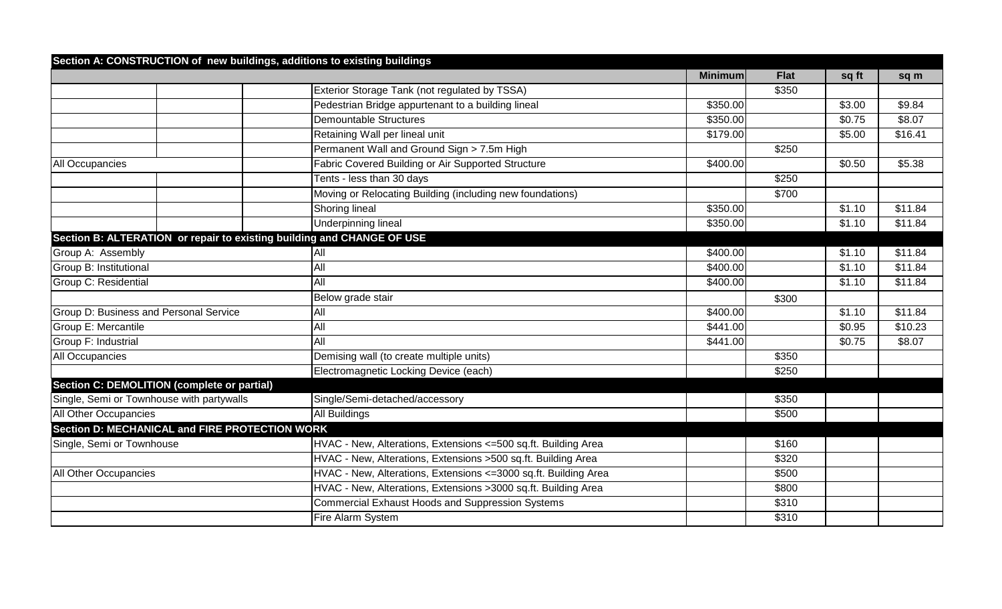| Section A: CONSTRUCTION of new buildings, additions to existing buildings |                                                                        |                |             |        |                     |  |
|---------------------------------------------------------------------------|------------------------------------------------------------------------|----------------|-------------|--------|---------------------|--|
|                                                                           |                                                                        | <b>Minimum</b> | <b>Flat</b> | sq ft  | sq m                |  |
|                                                                           | Exterior Storage Tank (not regulated by TSSA)                          |                | \$350       |        |                     |  |
|                                                                           | Pedestrian Bridge appurtenant to a building lineal                     | \$350.00       |             | \$3.00 | \$9.84              |  |
|                                                                           | <b>Demountable Structures</b>                                          | \$350.00       |             | \$0.75 | \$8.07              |  |
|                                                                           | Retaining Wall per lineal unit                                         | \$179.00       |             | \$5.00 | \$16.41             |  |
|                                                                           | Permanent Wall and Ground Sign > 7.5m High                             |                | \$250       |        |                     |  |
| <b>All Occupancies</b>                                                    | Fabric Covered Building or Air Supported Structure                     | \$400.00       |             | \$0.50 | \$5.38              |  |
|                                                                           | Tents - less than 30 days                                              |                | \$250       |        |                     |  |
|                                                                           | Moving or Relocating Building (including new foundations)              |                | \$700       |        |                     |  |
|                                                                           | Shoring lineal                                                         | \$350.00       |             | \$1.10 | \$11.84             |  |
|                                                                           | <b>Underpinning lineal</b>                                             | \$350.00       |             | \$1.10 | \$11.84             |  |
|                                                                           | Section B: ALTERATION or repair to existing building and CHANGE OF USE |                |             |        |                     |  |
| Group A: Assembly                                                         | All                                                                    | \$400.00       |             | \$1.10 | \$11.84             |  |
| Group B: Institutional                                                    | All                                                                    | \$400.00       |             | \$1.10 | \$11.84             |  |
| <b>Group C: Residential</b>                                               | All                                                                    | \$400.00       |             | \$1.10 | \$11.84             |  |
|                                                                           | Below grade stair                                                      |                | \$300       |        |                     |  |
| <b>Group D: Business and Personal Service</b>                             | All                                                                    | \$400.00       |             | \$1.10 | $\overline{$}11.84$ |  |
| <b>Group E: Mercantile</b>                                                | $\overline{All}$                                                       | \$441.00       |             | \$0.95 | \$10.23             |  |
| Group F: Industrial                                                       | All                                                                    | \$441.00       |             | \$0.75 | \$8.07              |  |
| All Occupancies                                                           | Demising wall (to create multiple units)                               |                | \$350       |        |                     |  |
|                                                                           | Electromagnetic Locking Device (each)                                  |                | \$250       |        |                     |  |
| Section C: DEMOLITION (complete or partial)                               |                                                                        |                |             |        |                     |  |
| Single, Semi or Townhouse with partywalls                                 | Single/Semi-detached/accessory                                         |                | \$350       |        |                     |  |
| All Other Occupancies                                                     | All Buildings                                                          |                | \$500       |        |                     |  |
| <b>Section D: MECHANICAL and FIRE PROTECTION WORK</b>                     |                                                                        |                |             |        |                     |  |
| Single, Semi or Townhouse                                                 | HVAC - New, Alterations, Extensions <= 500 sq.ft. Building Area        |                | \$160       |        |                     |  |
|                                                                           | HVAC - New, Alterations, Extensions >500 sq.ft. Building Area          |                | \$320       |        |                     |  |
| All Other Occupancies                                                     | HVAC - New, Alterations, Extensions <= 3000 sq.ft. Building Area       |                | \$500       |        |                     |  |
|                                                                           | HVAC - New, Alterations, Extensions >3000 sq.ft. Building Area         |                | \$800       |        |                     |  |
|                                                                           | <b>Commercial Exhaust Hoods and Suppression Systems</b>                |                | \$310       |        |                     |  |
|                                                                           | Fire Alarm System                                                      |                | \$310       |        |                     |  |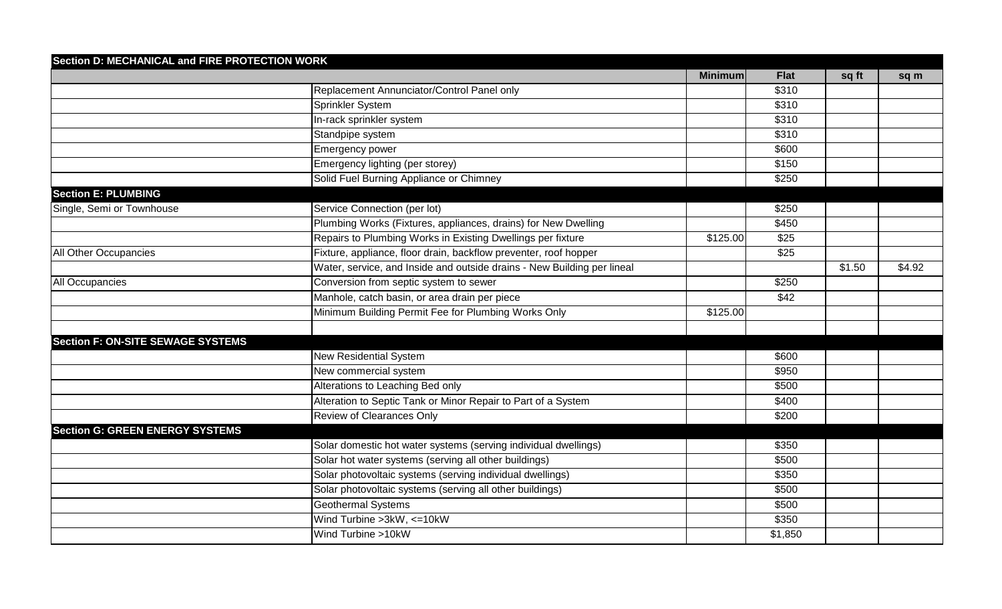| <b>Section D: MECHANICAL and FIRE PROTECTION WORK</b> |                                                                         |                |             |        |        |
|-------------------------------------------------------|-------------------------------------------------------------------------|----------------|-------------|--------|--------|
|                                                       |                                                                         | <b>Minimum</b> | <b>Flat</b> | sq ft  | sq m   |
|                                                       | Replacement Annunciator/Control Panel only                              |                | \$310       |        |        |
|                                                       | Sprinkler System                                                        |                | \$310       |        |        |
|                                                       | In-rack sprinkler system                                                |                | \$310       |        |        |
|                                                       | Standpipe system                                                        |                | \$310       |        |        |
|                                                       | Emergency power                                                         |                | \$600       |        |        |
|                                                       | Emergency lighting (per storey)                                         |                | \$150       |        |        |
|                                                       | Solid Fuel Burning Appliance or Chimney                                 |                | \$250       |        |        |
| <b>Section E: PLUMBING</b>                            |                                                                         |                |             |        |        |
| Single, Semi or Townhouse                             | Service Connection (per lot)                                            |                | \$250       |        |        |
|                                                       | Plumbing Works (Fixtures, appliances, drains) for New Dwelling          |                | \$450       |        |        |
|                                                       | Repairs to Plumbing Works in Existing Dwellings per fixture             | \$125.00       | \$25        |        |        |
| All Other Occupancies                                 | Fixture, appliance, floor drain, backflow preventer, roof hopper        |                | \$25        |        |        |
|                                                       | Water, service, and Inside and outside drains - New Building per lineal |                |             | \$1.50 | \$4.92 |
| <b>All Occupancies</b>                                | Conversion from septic system to sewer                                  |                | \$250       |        |        |
|                                                       | Manhole, catch basin, or area drain per piece                           |                | \$42        |        |        |
|                                                       | Minimum Building Permit Fee for Plumbing Works Only                     | \$125.00       |             |        |        |
|                                                       |                                                                         |                |             |        |        |
| <b>Section F: ON-SITE SEWAGE SYSTEMS</b>              |                                                                         |                |             |        |        |
|                                                       | <b>New Residential System</b>                                           |                | \$600       |        |        |
|                                                       | New commercial system                                                   |                | \$950       |        |        |
|                                                       | Alterations to Leaching Bed only                                        |                | \$500       |        |        |
|                                                       | Alteration to Septic Tank or Minor Repair to Part of a System           |                | \$400       |        |        |
|                                                       | Review of Clearances Only                                               |                | \$200       |        |        |
| <b>Section G: GREEN ENERGY SYSTEMS</b>                |                                                                         |                |             |        |        |
|                                                       | Solar domestic hot water systems (serving individual dwellings)         |                | \$350       |        |        |
|                                                       | Solar hot water systems (serving all other buildings)                   |                | \$500       |        |        |
|                                                       | Solar photovoltaic systems (serving individual dwellings)               |                | \$350       |        |        |
|                                                       | Solar photovoltaic systems (serving all other buildings)                |                | \$500       |        |        |
|                                                       | <b>Geothermal Systems</b>                                               |                | \$500       |        |        |
|                                                       | Wind Turbine > 3kW, <= 10kW                                             |                | \$350       |        |        |
|                                                       | Wind Turbine >10kW                                                      |                | \$1,850     |        |        |